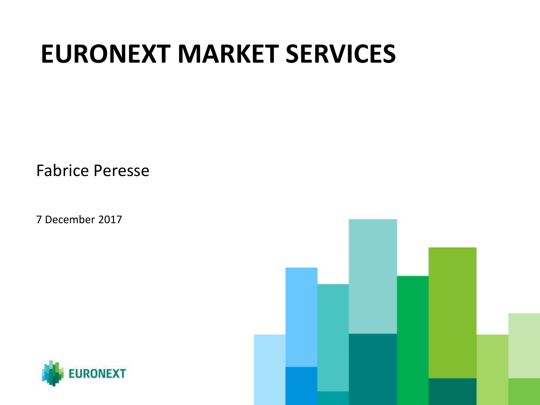# **EURONEXT MARKET SERVICES**

Fabrice Peresse

7 December 2017



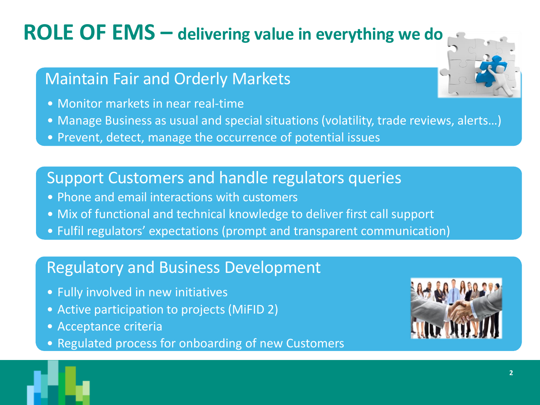## **ROLE OF EMS – delivering value in everything we do**

### Maintain Fair and Orderly Markets

- Monitor markets in near real-time
- Manage Business as usual and special situations (volatility, trade reviews, alerts…)
- Prevent, detect, manage the occurrence of potential issues

### Support Customers and handle regulators queries

- Phone and email interactions with customers
- Mix of functional and technical knowledge to deliver first call support
- Fulfil regulators' expectations (prompt and transparent communication)

### Regulatory and Business Development

- Fully involved in new initiatives
- Active participation to projects (MiFID 2)
- Acceptance criteria
- Regulated process for onboarding of new Customers



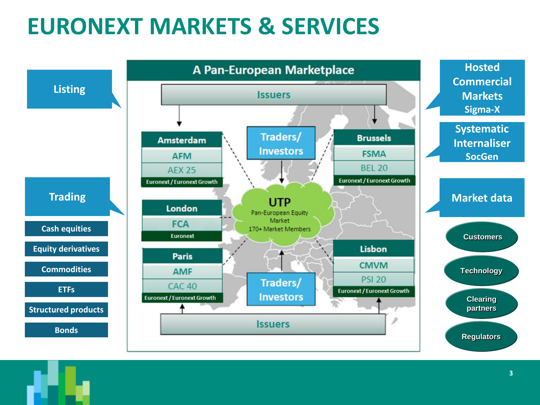## **EURONEXT MARKETS & SERVICES**

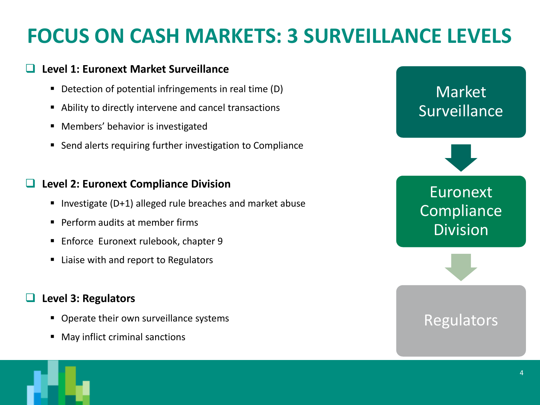## **FOCUS ON CASH MARKETS: 3 SURVEILLANCE LEVELS**

#### **Level 1: Euronext Market Surveillance**

- Detection of potential infringements in real time (D)
- Ability to directly intervene and cancel transactions
- Members' behavior is investigated
- Send alerts requiring further investigation to Compliance

#### **Level 2: Euronext Compliance Division**

- Investigate (D+1) alleged rule breaches and market abuse
- Perform audits at member firms
- Enforce Euronext rulebook, chapter 9
- Liaise with and report to Regulators

#### **Level 3: Regulators**

- Operate their own surveillance systems
- May inflict criminal sanctions



### **Regulators**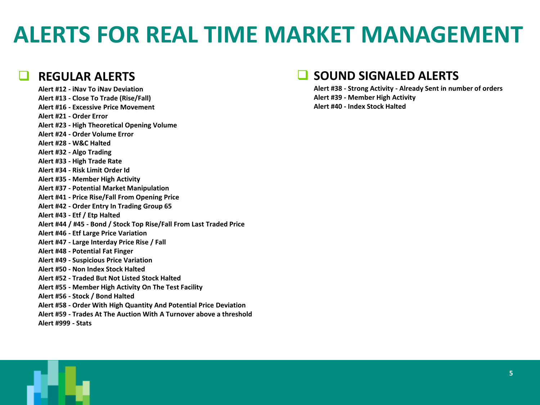## **ALERTS FOR REAL TIME MARKET MANAGEMENT**

#### **REGULAR ALERTS**

**Alert #12 - iNav To iNav Deviation Alert #13 - Close To Trade (Rise/Fall) Alert #16 - Excessive Price Movement Alert #21 - Order Error Alert #23 - High Theoretical Opening Volume Alert #24 - Order Volume Error Alert #28 - W&C Halted Alert #32 - Algo Trading Alert #33 - High Trade Rate Alert #34 - Risk Limit Order Id Alert #35 - Member High Activity Alert #37 - Potential Market Manipulation Alert #41 - Price Rise/Fall From Opening Price Alert #42 - Order Entry In Trading Group 65 Alert #43 - Etf / Etp Halted Alert #44 / #45 - Bond / Stock Top Rise/Fall From Last Traded Price Alert #46 - Etf Large Price Variation Alert #47 - Large Interday Price Rise / Fall Alert #48 - Potential Fat Finger Alert #49 - Suspicious Price Variation Alert #50 - Non Index Stock Halted Alert #52 - Traded But Not Listed Stock Halted Alert #55 - Member High Activity On The Test Facility Alert #56 - Stock / Bond Halted Alert #58 - Order With High Quantity And Potential Price Deviation Alert #59 - Trades At The Auction With A Turnover above a threshold Alert #999 - Stats**

#### **SOUND SIGNALED ALERTS**

**Alert #38 - Strong Activity - Already Sent in number of orders Alert #39 - Member High Activity Alert #40 - Index Stock Halted**

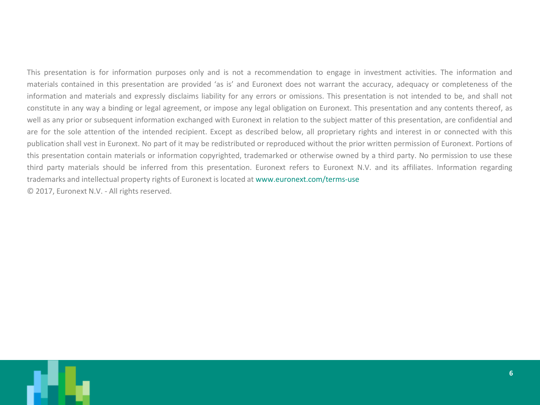This presentation is for information purposes only and is not a recommendation to engage in investment activities. The information and materials contained in this presentation are provided 'as is' and Euronext does not warrant the accuracy, adequacy or completeness of the information and materials and expressly disclaims liability for any errors or omissions. This presentation is not intended to be, and shall not constitute in any way a binding or legal agreement, or impose any legal obligation on Euronext. This presentation and any contents thereof, as well as any prior or subsequent information exchanged with Euronext in relation to the subject matter of this presentation, are confidential and are for the sole attention of the intended recipient. Except as described below, all proprietary rights and interest in or connected with this publication shall vest in Euronext. No part of it may be redistributed or reproduced without the prior written permission of Euronext. Portions of this presentation contain materials or information copyrighted, trademarked or otherwise owned by a third party. No permission to use these third party materials should be inferred from this presentation. Euronext refers to Euronext N.V. and its affiliates. Information regarding trademarks and intellectual property rights of Euronext is located at www.euronext.com/terms-use © 2017, Euronext N.V. - All rights reserved.